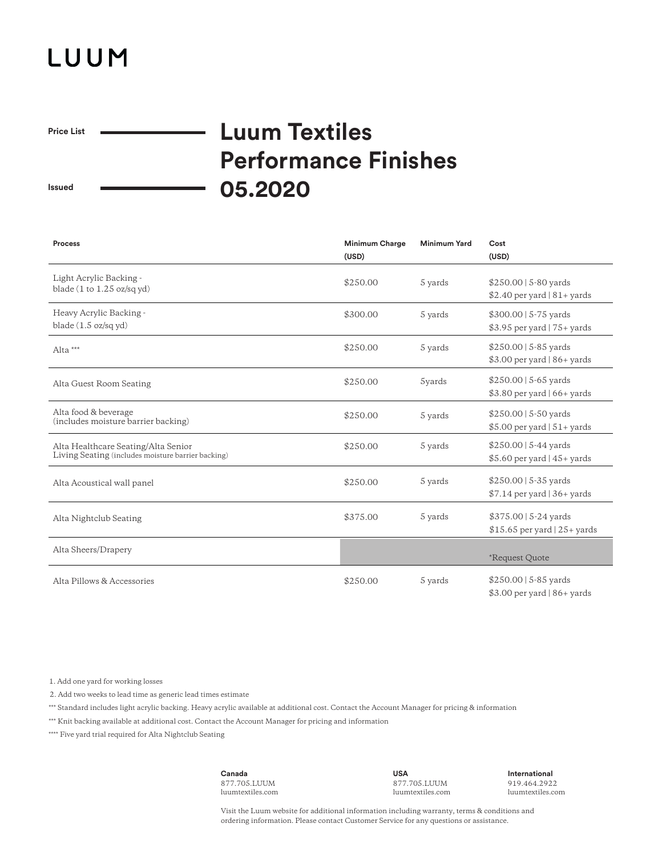## LUUM

 $\overline{\phantom{0}}$ 

**Price List**

## **Luum Textiles Performance Finishes 05.2020**

**Issued**

| <b>Process</b>                                                                            | <b>Minimum Charge</b><br>(USD) | <b>Minimum Yard</b> | Cost<br>(USD)                                                       |
|-------------------------------------------------------------------------------------------|--------------------------------|---------------------|---------------------------------------------------------------------|
| Light Acrylic Backing -<br>blade $(1$ to $1.25$ oz/sq yd)                                 | \$250.00                       | 5 yards             | $$250.00$   5-80 yards<br>\$2.40 per yard $ 81+$ yards              |
| Heavy Acrylic Backing -<br>blade $(1.5 \text{ oz/sq yd})$                                 | \$300.00                       | 5 yards             | $$300.00$   5-75 yards<br>$$3.95$ per yard   75+ yards              |
| Alta ***                                                                                  | \$250.00                       | 5 yards             | $$250.00$   5-85 yards<br>$$3.00$ per yard   86+ yards              |
| Alta Guest Room Seating                                                                   | \$250.00                       | 5yards              | $$250.00$   5-65 yards<br>$$3.80$ per yard $ 66+$ yards             |
| Alta food & beverage<br>(includes moisture barrier backing)                               | \$250.00                       | 5 yards             | $$250.00$   5-50 yards<br>$$5.00$ per yard $ 51+$ yards             |
| Alta Healthcare Seating/Alta Senior<br>Living Seating (includes moisture barrier backing) | \$250.00                       | 5 yards             | $$250.00$   5-44 yards<br>$$5.60$ per yard $ 45+$ yards             |
| Alta Acoustical wall panel                                                                | \$250.00                       | 5 yards             | $$250.00$   5-35 yards<br>\$7.14 per yard   36+ yards               |
| Alta Nightclub Seating                                                                    | \$375.00                       | 5 yards             | $$375.00 \mid 5-24 \text{ yards}$<br>$$15.65$ per yard $ 25+$ yards |
| Alta Sheers/Drapery                                                                       |                                |                     | *Request Quote                                                      |
| Alta Pillows & Accessories                                                                | \$250.00                       | 5 yards             | $$250.00$   5-85 yards<br>$$3.00$ per yard   86+ yards              |

1. Add one yard for working losses

2. Add two weeks to lead time as generic lead times estimate

\*\*\* Standard includes light acrylic backing. Heavy acrylic available at additional cost. Contact the Account Manager for pricing & information

\*\*\* Knit backing available at additional cost. Contact the Account Manager for pricing and information

\*\*\*\* Five yard trial required for Alta Nightclub Seating

**Canada** 877.705.LUUM luumtextiles.com

**USA** 877.705.LUUM luumtextiles.com **International** 919.464.2922 luumtextiles.com

Visit the Luum website for additional information including warranty, terms & conditions and ordering information. Please contact Customer Service for any questions or assistance.